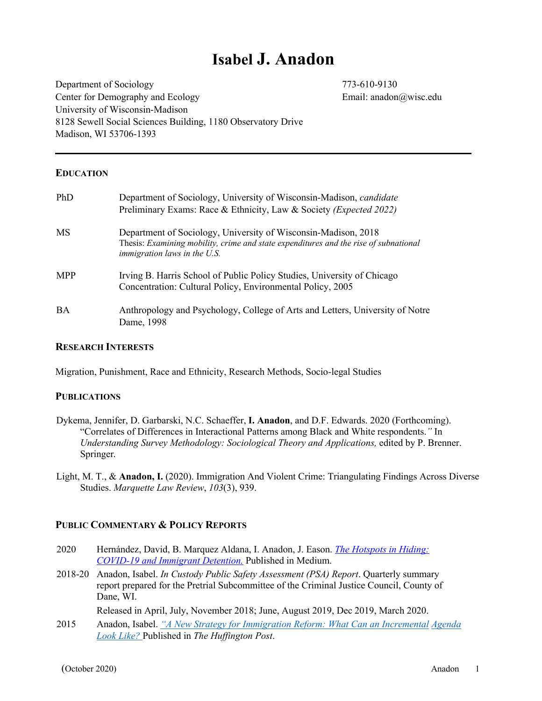## **Isabel J. Anadon**

Department of Sociology 773-610-9130 Center for Demography and Ecology Email: anadon@wisc.edu University of Wisconsin-Madison 8128 Sewell Social Sciences Building, 1180 Observatory Drive Madison, WI 53706-1393

#### **EDUCATION**

| PhD        | Department of Sociology, University of Wisconsin-Madison, <i>candidate</i><br>Preliminary Exams: Race & Ethnicity, Law & Society ( <i>Expected 2022</i> )                                     |
|------------|-----------------------------------------------------------------------------------------------------------------------------------------------------------------------------------------------|
| <b>MS</b>  | Department of Sociology, University of Wisconsin-Madison, 2018<br>Thesis: Examining mobility, crime and state expenditures and the rise of subnational<br><i>immigration laws in the U.S.</i> |
| <b>MPP</b> | Irving B. Harris School of Public Policy Studies, University of Chicago<br>Concentration: Cultural Policy, Environmental Policy, 2005                                                         |
| <b>BA</b>  | Anthropology and Psychology, College of Arts and Letters, University of Notre<br>Dame, 1998                                                                                                   |

#### **RESEARCH INTERESTS**

Migration, Punishment, Race and Ethnicity, Research Methods, Socio-legal Studies

#### **PUBLICATIONS**

- Dykema, Jennifer, D. Garbarski, N.C. Schaeffer, **I. Anadon**, and D.F. Edwards. 2020 (Forthcoming). "Correlates of Differences in Interactional Patterns among Black and White respondents.*"* In *Understanding Survey Methodology: Sociological Theory and Applications,* edited by P. Brenner. Springer*.*
- Light, M. T., & **Anadon, I.** (2020). Immigration And Violent Crime: Triangulating Findings Across Diverse Studies. *Marquette Law Review*, *103*(3), 939.

### **PUBLIC COMMENTARY & POLICY REPORTS**

- 2020 Hernández, David, B. Marquez Aldana, I. Anadon, J. Eason. *The Hotspots in Hiding: COVID-19 and Immigrant Detention.* Published in Medium.
- 2018-20 Anadon, Isabel. *In Custody Public Safety Assessment (PSA) Report*. Quarterly summary report prepared for the Pretrial Subcommittee of the Criminal Justice Council, County of Dane, WI.

Released in April, July, November 2018; June, August 2019, Dec 2019, March 2020.

2015 Anadon, Isabel. *"A New Strategy for Immigration Reform: What Can an Incremental Agenda Look Like?* Published in *The Huffington Post*.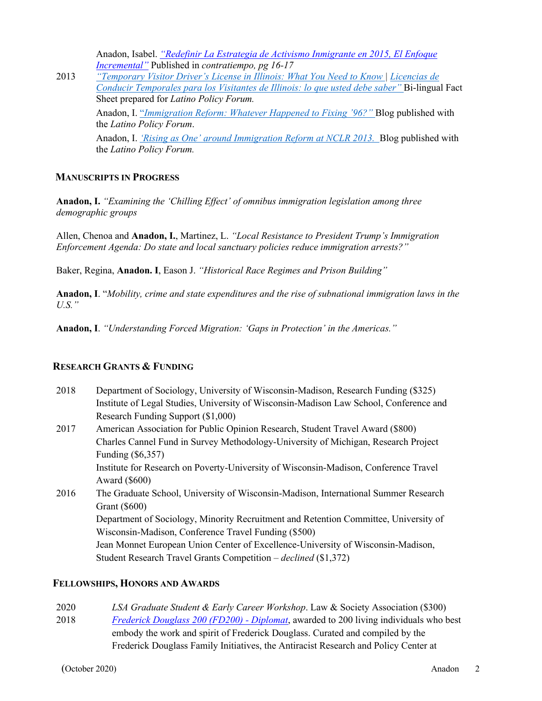Anadon, Isabel. *"Redefinir La Estrategia de Activismo Inmigrante en 2015, El Enfoque Incremental"* Published in *contratiempo, pg 16-17*

2013 *"Temporary Visitor Driver's License in Illinois: What You Need to Know | Licencias de Conducir Temporales para los Visitantes de Illinois: lo que usted debe saber"* Bi-lingual Fact Sheet prepared for *Latino Policy Forum.* Anadon, I. "*Immigration Reform: Whatever Happened to Fixing '96?"* Blog published with the *Latino Policy Forum*. Anadon, I. *'Rising as One' around Immigration Reform at NCLR 2013.* Blog published with the *Latino Policy Forum.*

### **MANUSCRIPTS IN PROGRESS**

**Anadon, I.** *"Examining the 'Chilling Effect' of omnibus immigration legislation among three demographic groups*

Allen, Chenoa and **Anadon, I.**, Martinez, L. *"Local Resistance to President Trump's Immigration Enforcement Agenda: Do state and local sanctuary policies reduce immigration arrests?"*

Baker, Regina, **Anadon. I**, Eason J. *"Historical Race Regimes and Prison Building"*

**Anadon, I**. "*Mobility, crime and state expenditures and the rise of subnational immigration laws in the U.S."*

**Anadon, I**. *"Understanding Forced Migration: 'Gaps in Protection' in the Americas."*

## **RESEARCH GRANTS & FUNDING**

- 2018 Department of Sociology, University of Wisconsin-Madison, Research Funding (\$325) Institute of Legal Studies, University of Wisconsin-Madison Law School, Conference and Research Funding Support (\$1,000)
- 2017 American Association for Public Opinion Research, Student Travel Award (\$800) Charles Cannel Fund in Survey Methodology-University of Michigan, Research Project Funding (\$6,357) Institute for Research on Poverty-University of Wisconsin-Madison, Conference Travel

Award (\$600)

2016 The Graduate School, University of Wisconsin-Madison, International Summer Research Grant (\$600) Department of Sociology, Minority Recruitment and Retention Committee, University of Wisconsin-Madison, Conference Travel Funding (\$500) Jean Monnet European Union Center of Excellence-University of Wisconsin-Madison, Student Research Travel Grants Competition – *declined* (\$1,372)

#### **FELLOWSHIPS, HONORS AND AWARDS**

- 2020 *LSA Graduate Student & Early Career Workshop*. Law & Society Association (\$300)
- 2018 *Frederick Douglass 200 (FD200) - Diplomat*, awarded to 200 living individuals who best embody the work and spirit of Frederick Douglass. Curated and compiled by the Frederick Douglass Family Initiatives, the Antiracist Research and Policy Center at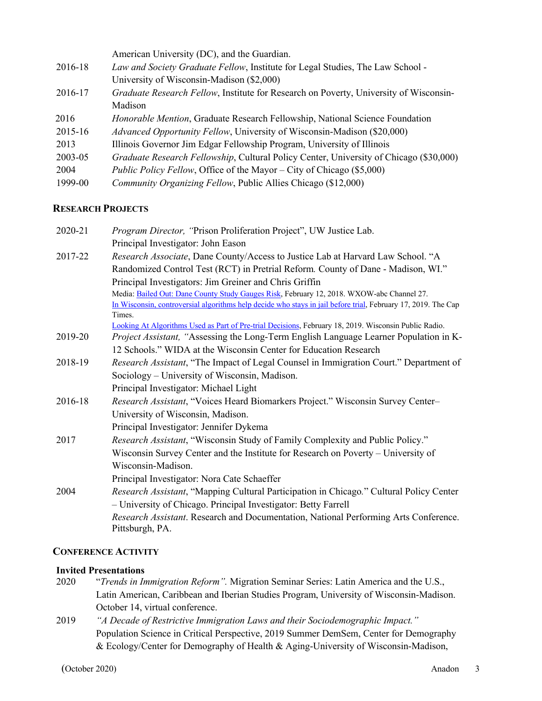|         | American University (DC), and the Guardian.                                            |
|---------|----------------------------------------------------------------------------------------|
| 2016-18 | Law and Society Graduate Fellow, Institute for Legal Studies, The Law School -         |
|         | University of Wisconsin-Madison (\$2,000)                                              |
| 2016-17 | Graduate Research Fellow, Institute for Research on Poverty, University of Wisconsin-  |
|         | Madison                                                                                |
| 2016    | <i>Honorable Mention</i> , Graduate Research Fellowship, National Science Foundation   |
| 2015-16 | <i>Advanced Opportunity Fellow</i> , University of Wisconsin-Madison (\$20,000)        |
| 2013    | Illinois Governor Jim Edgar Fellowship Program, University of Illinois                 |
| 2003-05 | Graduate Research Fellowship, Cultural Policy Center, University of Chicago (\$30,000) |
| 2004    | <i>Public Policy Fellow, Office of the Mayor – City of Chicago (\$5,000)</i>           |
| 1999-00 | <i>Community Organizing Fellow, Public Allies Chicago (\$12,000)</i>                   |

## **RESEARCH PROJECTS**

| 2020-21 | Program Director, "Prison Proliferation Project", UW Justice Lab.                                             |
|---------|---------------------------------------------------------------------------------------------------------------|
|         | Principal Investigator: John Eason                                                                            |
| 2017-22 | Research Associate, Dane County/Access to Justice Lab at Harvard Law School. "A                               |
|         | Randomized Control Test (RCT) in Pretrial Reform. County of Dane - Madison, WI."                              |
|         | Principal Investigators: Jim Greiner and Chris Griffin                                                        |
|         | Media: Bailed Out: Dane County Study Gauges Risk, February 12, 2018. WXOW-abc Channel 27.                     |
|         | In Wisconsin, controversial algorithms help decide who stays in jail before trial, February 17, 2019. The Cap |
|         | Times.                                                                                                        |
|         | Looking At Algorithms Used as Part of Pre-trial Decisions, February 18, 2019. Wisconsin Public Radio.         |
| 2019-20 | Project Assistant, "Assessing the Long-Term English Language Learner Population in K-                         |
|         | 12 Schools." WIDA at the Wisconsin Center for Education Research                                              |
| 2018-19 | Research Assistant, "The Impact of Legal Counsel in Immigration Court." Department of                         |
|         | Sociology – University of Wisconsin, Madison.                                                                 |
|         | Principal Investigator: Michael Light                                                                         |
| 2016-18 | Research Assistant, "Voices Heard Biomarkers Project." Wisconsin Survey Center-                               |
|         | University of Wisconsin, Madison.                                                                             |
|         | Principal Investigator: Jennifer Dykema                                                                       |
| 2017    | Research Assistant, "Wisconsin Study of Family Complexity and Public Policy."                                 |
|         | Wisconsin Survey Center and the Institute for Research on Poverty - University of                             |
|         | Wisconsin-Madison.                                                                                            |
|         | Principal Investigator: Nora Cate Schaeffer                                                                   |
| 2004    | Research Assistant, "Mapping Cultural Participation in Chicago." Cultural Policy Center                       |
|         | - University of Chicago. Principal Investigator: Betty Farrell                                                |
|         | Research Assistant. Research and Documentation, National Performing Arts Conference.<br>Pittsburgh, PA.       |

## **CONFERENCE ACTIVITY**

# **Invited Presentations**<br>2020 *<i>Trends in In*

- 2020 "*Trends in Immigration Reform".* Migration Seminar Series: Latin America and the U.S., Latin American, Caribbean and Iberian Studies Program, University of Wisconsin-Madison. October 14, virtual conference.
- 2019 *"A Decade of Restrictive Immigration Laws and their Sociodemographic Impact."*  Population Science in Critical Perspective, 2019 Summer DemSem, Center for Demography & Ecology/Center for Demography of Health & Aging-University of Wisconsin-Madison,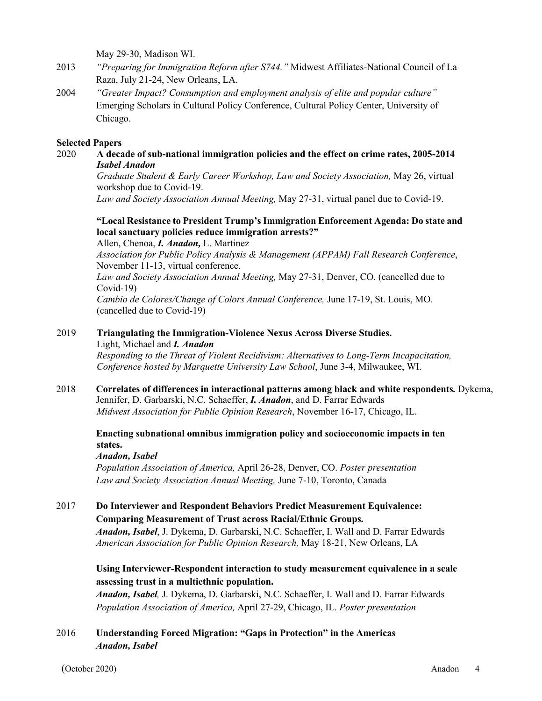May 29-30, Madison WI.

- 2013 *"Preparing for Immigration Reform after S744."* Midwest Affiliates-National Council of La Raza, July 21-24, New Orleans, LA.
- 2004 *"Greater Impact? Consumption and employment analysis of elite and popular culture"*  Emerging Scholars in Cultural Policy Conference, Cultural Policy Center, University of Chicago.

#### **Selected Papers**

2020 **A decade of sub-national immigration policies and the effect on crime rates, 2005-2014** *Isabel Anadon*

*Graduate Student & Early Career Workshop, Law and Society Association,* May 26, virtual workshop due to Covid-19.

*Law and Society Association Annual Meeting,* May 27-31, virtual panel due to Covid-19.

## **"Local Resistance to President Trump's Immigration Enforcement Agenda: Do state and local sanctuary policies reduce immigration arrests?"**

Allen, Chenoa, *I. Anadon,* L. Martinez

*Association for Public Policy Analysis & Management (APPAM) Fall Research Conference*, November 11-13, virtual conference.

*Law and Society Association Annual Meeting,* May 27-31, Denver, CO. (cancelled due to Covid-19)

*Cambio de Colores/Change of Colors Annual Conference,* June 17-19, St. Louis, MO. (cancelled due to Covid-19)

## 2019 **Triangulating the Immigration-Violence Nexus Across Diverse Studies.**

Light, Michael and *I. Anadon*

*Responding to the Threat of Violent Recidivism: Alternatives to Long-Term Incapacitation, Conference hosted by Marquette University Law School*, June 3-4, Milwaukee, WI.

2018 **Correlates of differences in interactional patterns among black and white respondents.** Dykema, Jennifer, D. Garbarski, N.C. Schaeffer, *I. Anadon*, and D. Farrar Edwards *Midwest Association for Public Opinion Research*, November 16-17, Chicago, IL.

**Enacting subnational omnibus immigration policy and socioeconomic impacts in ten states.**

#### *Anadon, Isabel*

*Population Association of America,* April 26-28, Denver, CO. *Poster presentation Law and Society Association Annual Meeting,* June 7-10, Toronto, Canada

## 2017 **Do Interviewer and Respondent Behaviors Predict Measurement Equivalence: Comparing Measurement of Trust across Racial/Ethnic Groups.**

*Anadon, Isabel*, J. Dykema, D. Garbarski, N.C. Schaeffer, I. Wall and D. Farrar Edwards *American Association for Public Opinion Research,* May 18-21, New Orleans, LA

## **Using Interviewer-Respondent interaction to study measurement equivalence in a scale assessing trust in a multiethnic population.**

*Anadon, Isabel,* J. Dykema, D. Garbarski, N.C. Schaeffer, I. Wall and D. Farrar Edwards *Population Association of America,* April 27-29, Chicago, IL. *Poster presentation*

## 2016 **Understanding Forced Migration: "Gaps in Protection" in the Americas** *Anadon, Isabel*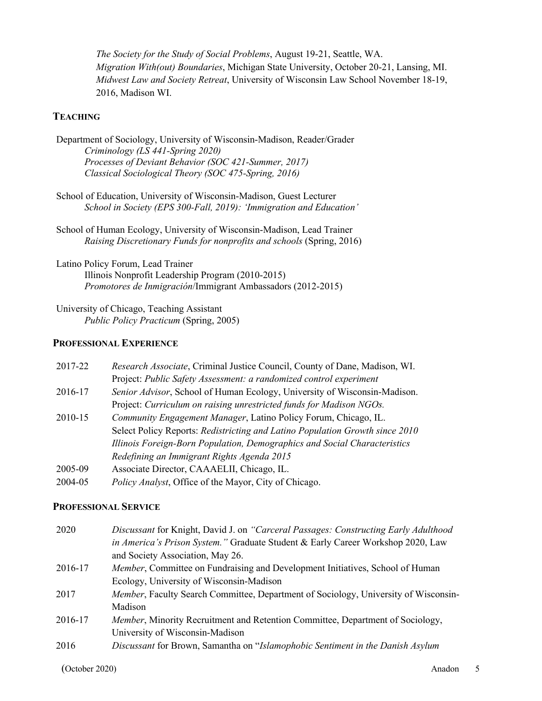*The Society for the Study of Social Problems*, August 19-21, Seattle, WA. *Migration With(out) Boundaries*, Michigan State University, October 20-21, Lansing, MI. *Midwest Law and Society Retreat*, University of Wisconsin Law School November 18-19, 2016, Madison WI.

## **TEACHING**

| Department of Sociology, University of Wisconsin-Madison, Reader/Grader |
|-------------------------------------------------------------------------|
| Criminology (LS 441-Spring 2020)                                        |
| Processes of Deviant Behavior (SOC 421-Summer, 2017)                    |
| Classical Sociological Theory (SOC 475-Spring, 2016)                    |

- School of Education, University of Wisconsin-Madison, Guest Lecturer *School in Society (EPS 300-Fall, 2019): 'Immigration and Education'*
- School of Human Ecology, University of Wisconsin-Madison, Lead Trainer *Raising Discretionary Funds for nonprofits and schools* (Spring, 2016)

Latino Policy Forum, Lead Trainer Illinois Nonprofit Leadership Program (2010-2015) *Promotores de Inmigración*/Immigrant Ambassadors (2012-2015)

University of Chicago, Teaching Assistant *Public Policy Practicum* (Spring, 2005)

#### **PROFESSIONAL EXPERIENCE**

| 2017-22 | Research Associate, Criminal Justice Council, County of Dane, Madison, WI.   |
|---------|------------------------------------------------------------------------------|
|         | Project: Public Safety Assessment: a randomized control experiment           |
| 2016-17 | Senior Advisor, School of Human Ecology, University of Wisconsin-Madison.    |
|         | Project: Curriculum on raising unrestricted funds for Madison NGOs.          |
| 2010-15 | Community Engagement Manager, Latino Policy Forum, Chicago, IL.              |
|         | Select Policy Reports: Redistricting and Latino Population Growth since 2010 |
|         | Illinois Foreign-Born Population, Demographics and Social Characteristics    |
|         | Redefining an Immigrant Rights Agenda 2015                                   |
| 2005-09 | Associate Director, CAAAELII, Chicago, IL.                                   |
| 2004-05 | Policy Analyst, Office of the Mayor, City of Chicago.                        |

#### **PROFESSIONAL SERVICE**

| 2020    | Discussant for Knight, David J. on "Carceral Passages: Constructing Early Adulthood |
|---------|-------------------------------------------------------------------------------------|
|         | in America's Prison System." Graduate Student & Early Career Workshop 2020, Law     |
|         | and Society Association, May 26.                                                    |
| 2016-17 | Member, Committee on Fundraising and Development Initiatives, School of Human       |
|         | Ecology, University of Wisconsin-Madison                                            |
| 2017    | Member, Faculty Search Committee, Department of Sociology, University of Wisconsin- |
|         | Madison                                                                             |
| 2016-17 | Member, Minority Recruitment and Retention Committee, Department of Sociology,      |
|         | University of Wisconsin-Madison                                                     |
| 2016    | Discussant for Brown, Samantha on "Islamophobic Sentiment in the Danish Asylum      |
|         |                                                                                     |